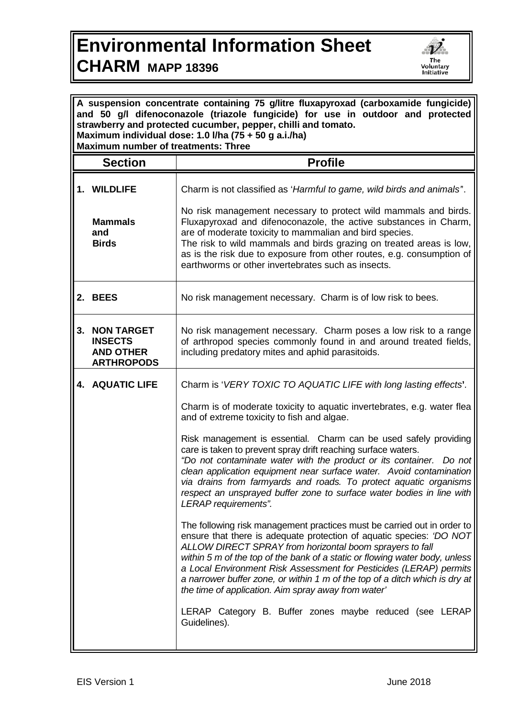## **Environmental Information Sheet CHARM MAPP 18396**



| A suspension concentrate containing 75 g/litre fluxapyroxad (carboxamide fungicide)<br>and 50 g/l difenoconazole (triazole fungicide) for use in outdoor and protected<br>strawberry and protected cucumber, pepper, chilli and tomato.<br>Maximum individual dose: 1.0 I/ha (75 + 50 g a.i./ha)<br><b>Maximum number of treatments: Three</b> |                                                                              |                                                                                                                                                                                                                                                                                                                                                                                                                                                                                                                                                                                                                                                                                                                                                                                                                                                                                                                                                                                                                                                                                                                                                                                                                                         |  |
|------------------------------------------------------------------------------------------------------------------------------------------------------------------------------------------------------------------------------------------------------------------------------------------------------------------------------------------------|------------------------------------------------------------------------------|-----------------------------------------------------------------------------------------------------------------------------------------------------------------------------------------------------------------------------------------------------------------------------------------------------------------------------------------------------------------------------------------------------------------------------------------------------------------------------------------------------------------------------------------------------------------------------------------------------------------------------------------------------------------------------------------------------------------------------------------------------------------------------------------------------------------------------------------------------------------------------------------------------------------------------------------------------------------------------------------------------------------------------------------------------------------------------------------------------------------------------------------------------------------------------------------------------------------------------------------|--|
|                                                                                                                                                                                                                                                                                                                                                | <b>Section</b>                                                               | <b>Profile</b>                                                                                                                                                                                                                                                                                                                                                                                                                                                                                                                                                                                                                                                                                                                                                                                                                                                                                                                                                                                                                                                                                                                                                                                                                          |  |
| and                                                                                                                                                                                                                                                                                                                                            | 1. WILDLIFE<br><b>Mammals</b><br><b>Birds</b>                                | Charm is not classified as 'Harmful to game, wild birds and animals'.<br>No risk management necessary to protect wild mammals and birds.<br>Fluxapyroxad and difenoconazole, the active substances in Charm,<br>are of moderate toxicity to mammalian and bird species.<br>The risk to wild mammals and birds grazing on treated areas is low,<br>as is the risk due to exposure from other routes, e.g. consumption of<br>earthworms or other invertebrates such as insects.                                                                                                                                                                                                                                                                                                                                                                                                                                                                                                                                                                                                                                                                                                                                                           |  |
| 2. BEES                                                                                                                                                                                                                                                                                                                                        |                                                                              | No risk management necessary. Charm is of low risk to bees.                                                                                                                                                                                                                                                                                                                                                                                                                                                                                                                                                                                                                                                                                                                                                                                                                                                                                                                                                                                                                                                                                                                                                                             |  |
| 3.                                                                                                                                                                                                                                                                                                                                             | <b>NON TARGET</b><br><b>INSECTS</b><br><b>AND OTHER</b><br><b>ARTHROPODS</b> | No risk management necessary. Charm poses a low risk to a range<br>of arthropod species commonly found in and around treated fields,<br>including predatory mites and aphid parasitoids.                                                                                                                                                                                                                                                                                                                                                                                                                                                                                                                                                                                                                                                                                                                                                                                                                                                                                                                                                                                                                                                |  |
|                                                                                                                                                                                                                                                                                                                                                | <b>4. AQUATIC LIFE</b>                                                       | Charm is 'VERY TOXIC TO AQUATIC LIFE with long lasting effects'.<br>Charm is of moderate toxicity to aquatic invertebrates, e.g. water flea<br>and of extreme toxicity to fish and algae.<br>Risk management is essential. Charm can be used safely providing<br>care is taken to prevent spray drift reaching surface waters.<br>"Do not contaminate water with the product or its container. Do not<br>clean application equipment near surface water. Avoid contamination<br>via drains from farmyards and roads. To protect aquatic organisms<br>respect an unsprayed buffer zone to surface water bodies in line with<br>LERAP requirements".<br>The following risk management practices must be carried out in order to<br>ensure that there is adequate protection of aquatic species: 'DO NOT<br>ALLOW DIRECT SPRAY from horizontal boom sprayers to fall<br>within 5 m of the top of the bank of a static or flowing water body, unless<br>a Local Environment Risk Assessment for Pesticides (LERAP) permits<br>a narrower buffer zone, or within 1 m of the top of a ditch which is dry at<br>the time of application. Aim spray away from water'<br>LERAP Category B. Buffer zones maybe reduced (see LERAP<br>Guidelines). |  |